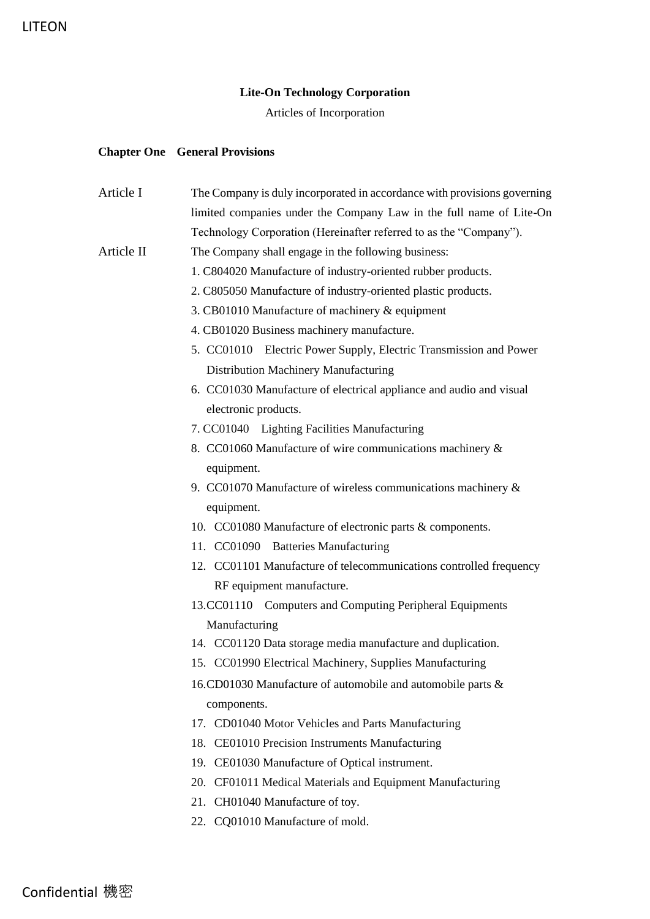## **Lite-On Technology Corporation**

Articles of Incorporation

## **Chapter One General Provisions**

| Article I  | The Company is duly incorporated in accordance with provisions governing |
|------------|--------------------------------------------------------------------------|
|            | limited companies under the Company Law in the full name of Lite-On      |
|            | Technology Corporation (Hereinafter referred to as the "Company").       |
| Article II | The Company shall engage in the following business:                      |
|            | 1. C804020 Manufacture of industry-oriented rubber products.             |
|            | 2. C805050 Manufacture of industry-oriented plastic products.            |
|            | 3. CB01010 Manufacture of machinery & equipment                          |
|            | 4. CB01020 Business machinery manufacture.                               |
|            | 5. CC01010 Electric Power Supply, Electric Transmission and Power        |
|            | Distribution Machinery Manufacturing                                     |
|            | 6. CC01030 Manufacture of electrical appliance and audio and visual      |
|            | electronic products.                                                     |
|            | 7. CC01040 Lighting Facilities Manufacturing                             |
|            | 8. CC01060 Manufacture of wire communications machinery &                |
|            | equipment.                                                               |
|            | 9. CC01070 Manufacture of wireless communications machinery $\&$         |
|            | equipment.                                                               |
|            | 10. CC01080 Manufacture of electronic parts & components.                |
|            | 11. CC01090 Batteries Manufacturing                                      |
|            | 12. CC01101 Manufacture of telecommunications controlled frequency       |
|            | RF equipment manufacture.                                                |
|            | 13.CC01110 Computers and Computing Peripheral Equipments                 |
|            | Manufacturing                                                            |
|            | 14. CC01120 Data storage media manufacture and duplication.              |
|            | 15. CC01990 Electrical Machinery, Supplies Manufacturing                 |
|            | 16.CD01030 Manufacture of automobile and automobile parts &              |
|            | components.                                                              |
|            | 17. CD01040 Motor Vehicles and Parts Manufacturing                       |
|            | 18. CE01010 Precision Instruments Manufacturing                          |
|            | 19. CE01030 Manufacture of Optical instrument.                           |
|            | 20. CF01011 Medical Materials and Equipment Manufacturing                |
|            | 21. CH01040 Manufacture of toy.                                          |
|            | 22. CQ01010 Manufacture of mold.                                         |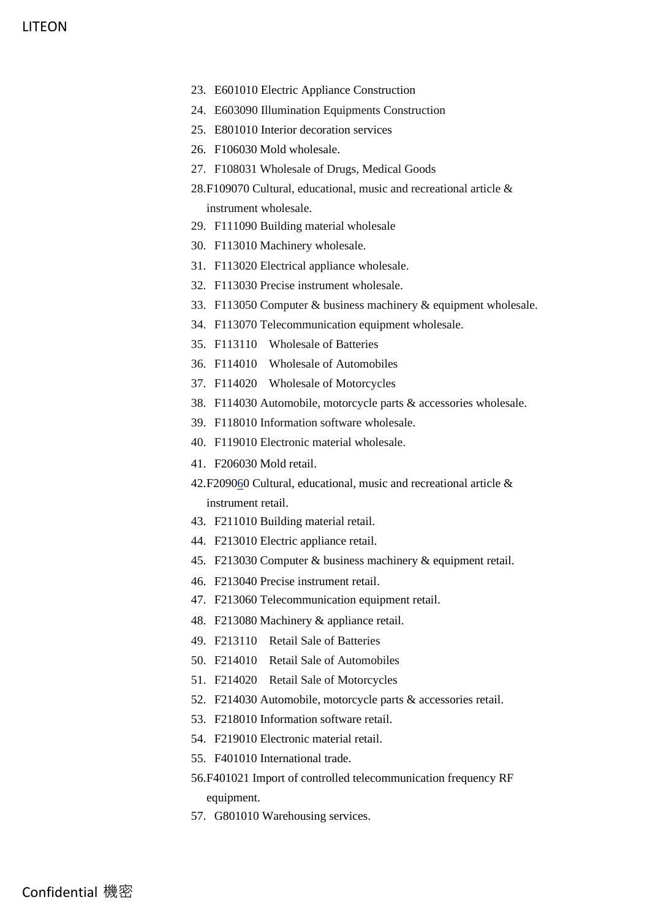- 23. E601010 Electric Appliance Construction
- 24. E603090 Illumination Equipments Construction
- 25. E801010 Interior decoration services
- 26. F106030 Mold wholesale.
- 27. F108031 Wholesale of Drugs, Medical Goods
- 28.F109070 Cultural, educational, music and recreational article & instrument wholesale.
- 29. F111090 Building material wholesale
- 30. F113010 Machinery wholesale.
- 31. F113020 Electrical appliance wholesale.
- 32. F113030 Precise instrument wholesale.
- 33. F113050 Computer & business machinery & equipment wholesale.
- 34. F113070 Telecommunication equipment wholesale.
- 35. F113110 Wholesale of Batteries
- 36. F114010 Wholesale of Automobiles
- 37. F114020 Wholesale of Motorcycles
- 38. F114030 Automobile, motorcycle parts & accessories wholesale.
- 39. F118010 Information software wholesale.
- 40. F119010 Electronic material wholesale.
- 41. F206030 Mold retail.
- 42.F209060 Cultural, educational, music and recreational article & instrument retail.
- 43. F211010 Building material retail.
- 44. F213010 Electric appliance retail.
- 45. F213030 Computer & business machinery & equipment retail.
- 46. F213040 Precise instrument retail.
- 47. F213060 Telecommunication equipment retail.
- 48. F213080 Machinery & appliance retail.
- 49. F213110 Retail Sale of Batteries
- 50. F214010 Retail Sale of Automobiles
- 51. F214020 Retail Sale of Motorcycles
- 52. F214030 Automobile, motorcycle parts & accessories retail.
- 53. F218010 Information software retail.
- 54. F219010 Electronic material retail.
- 55. F401010 International trade.
- 56.F401021 Import of controlled telecommunication frequency RF equipment.
- 57. G801010 Warehousing services.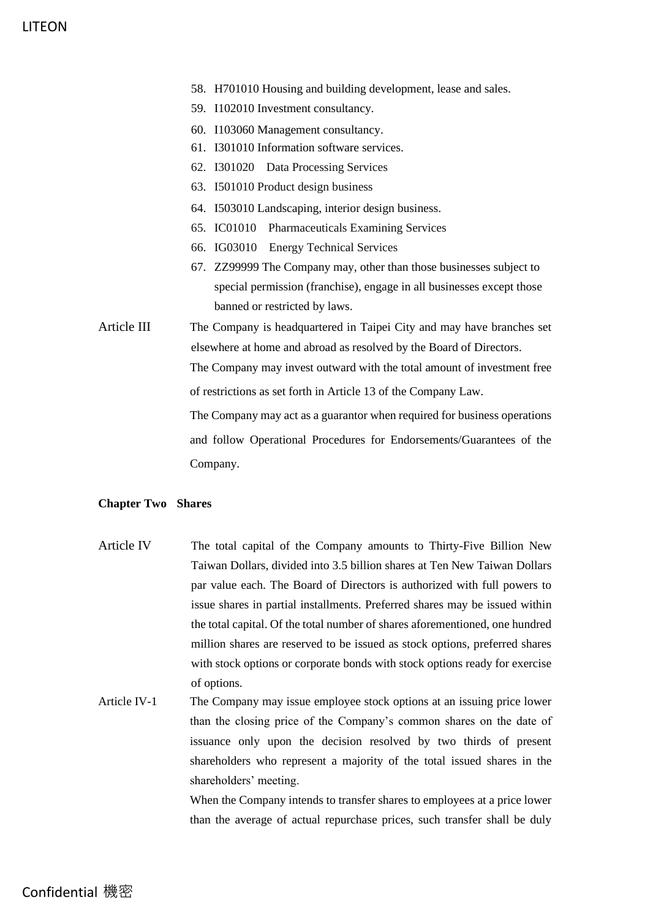- 58. H701010 Housing and building development, lease and sales.
- 59. I102010 Investment consultancy.
- 60. I103060 Management consultancy.
- 61. I301010 Information software services.
- 62. I301020 Data Processing Services
- 63. I501010 Product design business
- 64. I503010 Landscaping, interior design business.
- 65. IC01010 Pharmaceuticals Examining Services
- 66. IG03010 Energy Technical Services
- 67. ZZ99999 The Company may, other than those businesses subject to special permission (franchise), engage in all businesses except those banned or restricted by laws.
- Article III The Company is headquartered in Taipei City and may have branches set elsewhere at home and abroad as resolved by the Board of Directors. The Company may invest outward with the total amount of investment free of restrictions as set forth in Article 13 of the Company Law. The Company may act as a guarantor when required for business operations and follow Operational Procedures for Endorsements/Guarantees of the

#### **Chapter Two Shares**

Company.

- Article IV The total capital of the Company amounts to Thirty-Five Billion New Taiwan Dollars, divided into 3.5 billion shares at Ten New Taiwan Dollars par value each. The Board of Directors is authorized with full powers to issue shares in partial installments. Preferred shares may be issued within the total capital. Of the total number of shares aforementioned, one hundred million shares are reserved to be issued as stock options, preferred shares with stock options or corporate bonds with stock options ready for exercise of options.
- Article IV-1 The Company may issue employee stock options at an issuing price lower than the closing price of the Company's common shares on the date of issuance only upon the decision resolved by two thirds of present shareholders who represent a majority of the total issued shares in the shareholders' meeting.

When the Company intends to transfer shares to employees at a price lower than the average of actual repurchase prices, such transfer shall be duly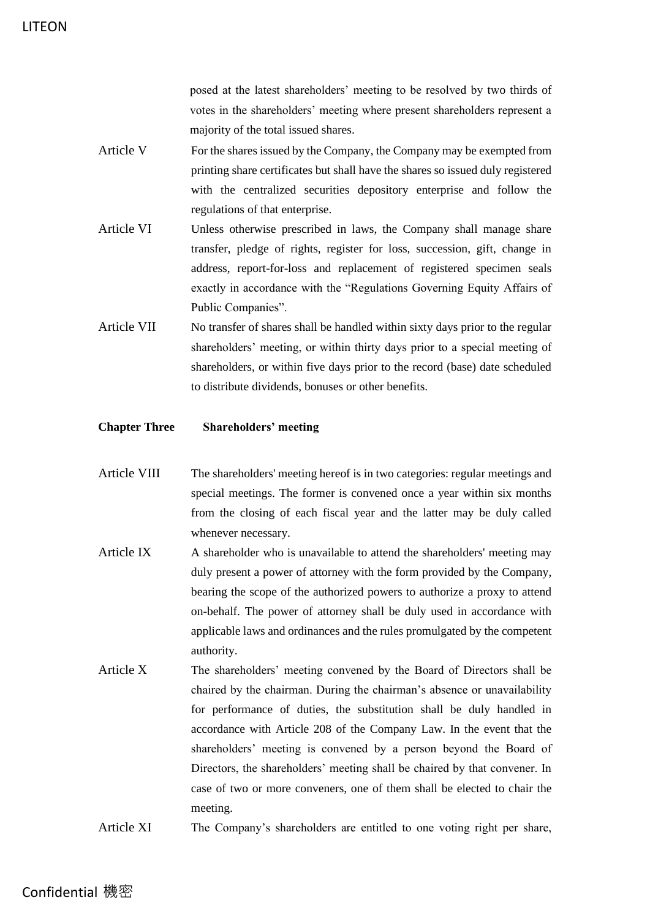posed at the latest shareholders' meeting to be resolved by two thirds of votes in the shareholders' meeting where present shareholders represent a majority of the total issued shares.

- Article V For the shares issued by the Company, the Company may be exempted from printing share certificates but shall have the shares so issued duly registered with the centralized securities depository enterprise and follow the regulations of that enterprise.
- Article VI Unless otherwise prescribed in laws, the Company shall manage share transfer, pledge of rights, register for loss, succession, gift, change in address, report-for-loss and replacement of registered specimen seals exactly in accordance with the "Regulations Governing Equity Affairs of Public Companies".
- Article VII No transfer of shares shall be handled within sixty days prior to the regular shareholders' meeting, or within thirty days prior to a special meeting of shareholders, or within five days prior to the record (base) date scheduled to distribute dividends, bonuses or other benefits.

### **Chapter Three Shareholders' meeting**

- Article VIII The shareholders' meeting hereof is in two categories: regular meetings and special meetings. The former is convened once a year within six months from the closing of each fiscal year and the latter may be duly called whenever necessary.
- Article IX A shareholder who is unavailable to attend the shareholders' meeting may duly present a power of attorney with the form provided by the Company, bearing the scope of the authorized powers to authorize a proxy to attend on-behalf. The power of attorney shall be duly used in accordance with applicable laws and ordinances and the rules promulgated by the competent authority.
- Article X The shareholders' meeting convened by the Board of Directors shall be chaired by the chairman. During the chairman's absence or unavailability for performance of duties, the substitution shall be duly handled in accordance with Article 208 of the Company Law. In the event that the shareholders' meeting is convened by a person beyond the Board of Directors, the shareholders' meeting shall be chaired by that convener. In case of two or more conveners, one of them shall be elected to chair the meeting.
- Article XI The Company's shareholders are entitled to one voting right per share,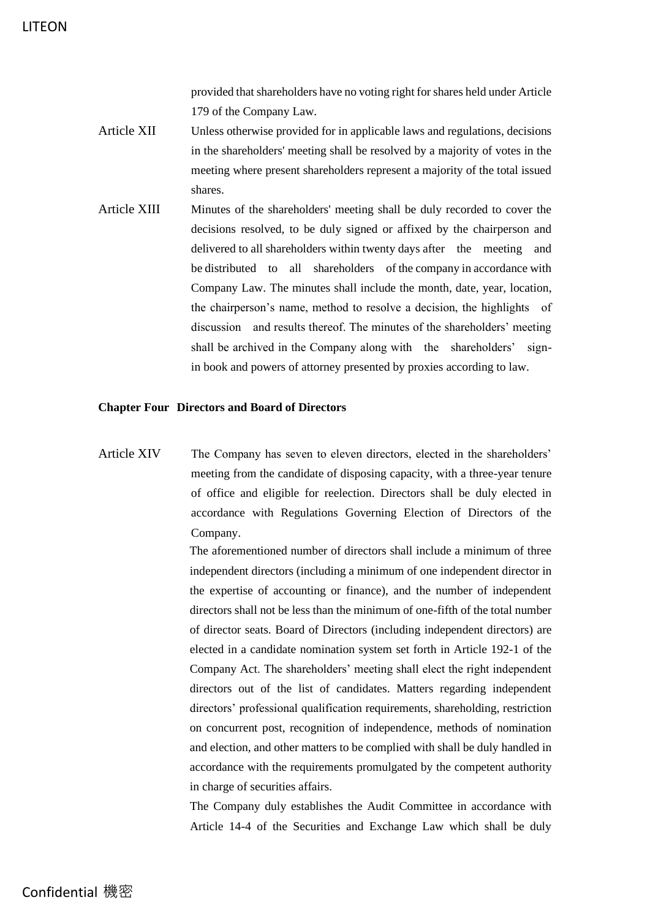provided that shareholders have no voting right for shares held under Article 179 of the Company Law.

- Article XII Unless otherwise provided for in applicable laws and regulations, decisions in the shareholders' meeting shall be resolved by a majority of votes in the meeting where present shareholders represent a majority of the total issued shares.
- Article XIII Minutes of the shareholders' meeting shall be duly recorded to cover the decisions resolved, to be duly signed or affixed by the chairperson and delivered to all shareholders within twenty days after the meeting and be distributed to all shareholders of the company in accordance with Company Law. The minutes shall include the month, date, year, location, the chairperson's name, method to resolve a decision, the highlights of discussion and results thereof. The minutes of the shareholders' meeting shall be archived in the Company along with the shareholders' signin book and powers of attorney presented by proxies according to law.

#### **Chapter Four Directors and Board of Directors**

Article XIV The Company has seven to eleven directors, elected in the shareholders' meeting from the candidate of disposing capacity, with a three-year tenure of office and eligible for reelection. Directors shall be duly elected in accordance with Regulations Governing Election of Directors of the Company.

> The aforementioned number of directors shall include a minimum of three independent directors (including a minimum of one independent director in the expertise of accounting or finance), and the number of independent directors shall not be less than the minimum of one-fifth of the total number of director seats. Board of Directors (including independent directors) are elected in a candidate nomination system set forth in Article 192-1 of the Company Act. The shareholders' meeting shall elect the right independent directors out of the list of candidates. Matters regarding independent directors' professional qualification requirements, shareholding, restriction on concurrent post, recognition of independence, methods of nomination and election, and other matters to be complied with shall be duly handled in accordance with the requirements promulgated by the competent authority in charge of securities affairs.

> The Company duly establishes the Audit Committee in accordance with Article 14-4 of the Securities and Exchange Law which shall be duly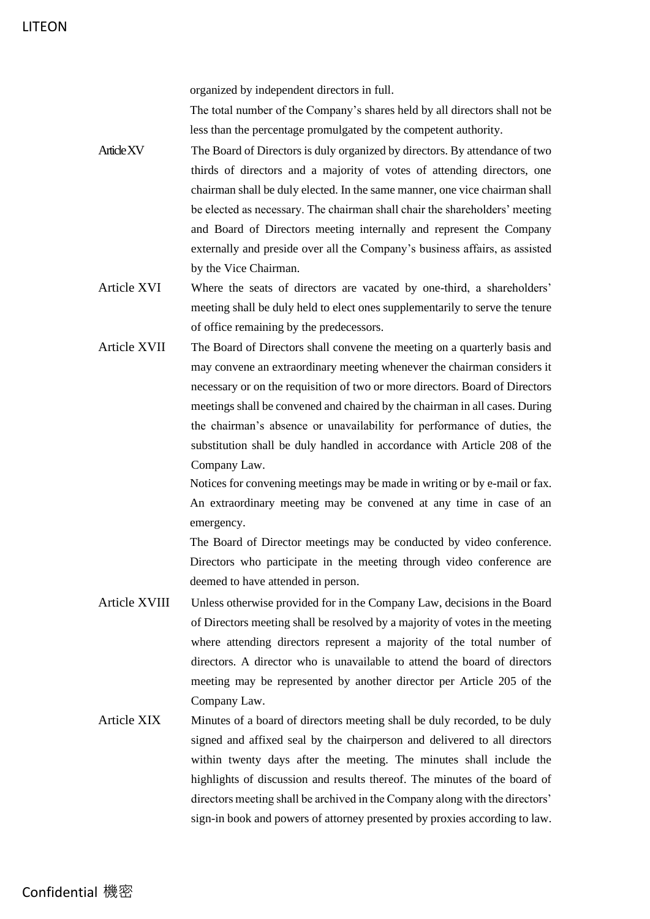organized by independent directors in full.

The total number of the Company's shares held by all directors shall not be less than the percentage promulgated by the competent authority.

- Article XV The Board of Directors is duly organized by directors. By attendance of two thirds of directors and a majority of votes of attending directors, one chairman shall be duly elected. In the same manner, one vice chairman shall be elected as necessary. The chairman shall chair the shareholders' meeting and Board of Directors meeting internally and represent the Company externally and preside over all the Company's business affairs, as assisted by the Vice Chairman.
- Article XVI Where the seats of directors are vacated by one-third, a shareholders' meeting shall be duly held to elect ones supplementarily to serve the tenure of office remaining by the predecessors.
- Article XVII The Board of Directors shall convene the meeting on a quarterly basis and may convene an extraordinary meeting whenever the chairman considers it necessary or on the requisition of two or more directors. Board of Directors meetings shall be convened and chaired by the chairman in all cases. During the chairman's absence or unavailability for performance of duties, the substitution shall be duly handled in accordance with Article 208 of the Company Law.

Notices for convening meetings may be made in writing or by e-mail or fax. An extraordinary meeting may be convened at any time in case of an emergency.

The Board of Director meetings may be conducted by video conference. Directors who participate in the meeting through video conference are deemed to have attended in person.

- Article XVIII Unless otherwise provided for in the Company Law, decisions in the Board of Directors meeting shall be resolved by a majority of votes in the meeting where attending directors represent a majority of the total number of directors. A director who is unavailable to attend the board of directors meeting may be represented by another director per Article 205 of the Company Law.
- Article XIX Minutes of a board of directors meeting shall be duly recorded, to be duly signed and affixed seal by the chairperson and delivered to all directors within twenty days after the meeting. The minutes shall include the highlights of discussion and results thereof. The minutes of the board of directors meeting shall be archived in the Company along with the directors' sign-in book and powers of attorney presented by proxies according to law.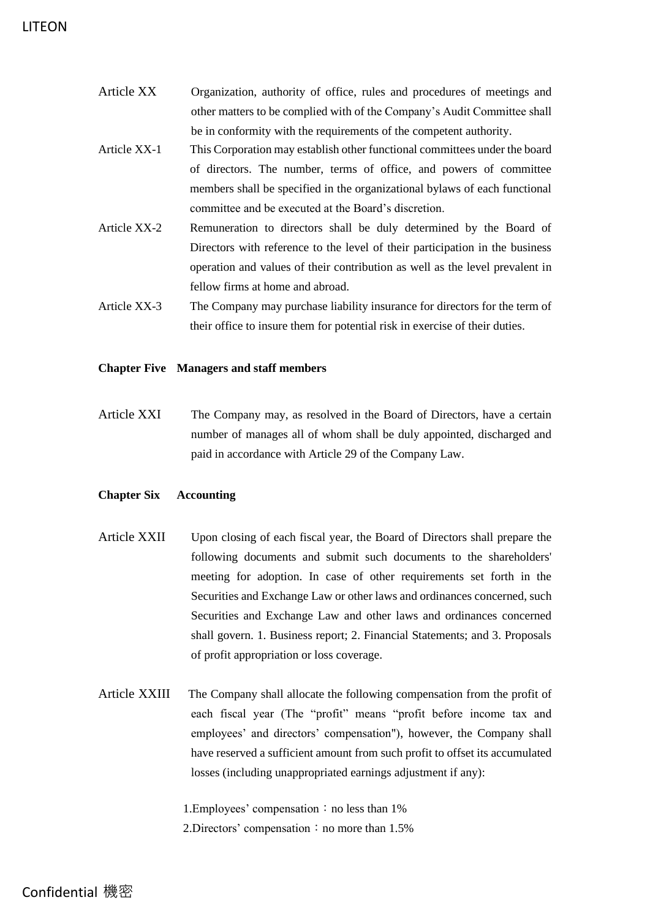| Article XX   | Organization, authority of office, rules and procedures of meetings and      |
|--------------|------------------------------------------------------------------------------|
|              | other matters to be complied with of the Company's Audit Committee shall     |
|              | be in conformity with the requirements of the competent authority.           |
| Article XX-1 | This Corporation may establish other functional committees under the board   |
|              | of directors. The number, terms of office, and powers of committee           |
|              | members shall be specified in the organizational bylaws of each functional   |
|              | committee and be executed at the Board's discretion.                         |
| Article XX-2 | Remuneration to directors shall be duly determined by the Board of           |
|              | Directors with reference to the level of their participation in the business |
|              | operation and values of their contribution as well as the level prevalent in |
|              | fellow firms at home and abroad.                                             |
| Article XX-3 | The Company may purchase liability insurance for directors for the term of   |
|              | their office to insure them for potential risk in exercise of their duties.  |

### **Chapter Five Managers and staff members**

Article XXI The Company may, as resolved in the Board of Directors, have a certain number of manages all of whom shall be duly appointed, discharged and paid in accordance with Article 29 of the Company Law.

### **Chapter Six Accounting**

- Article XXII Upon closing of each fiscal year, the Board of Directors shall prepare the following documents and submit such documents to the shareholders' meeting for adoption. In case of other requirements set forth in the Securities and Exchange Law or other laws and ordinances concerned, such Securities and Exchange Law and other laws and ordinances concerned shall govern. 1. Business report; 2. Financial Statements; and 3. Proposals of profit appropriation or loss coverage.
- Article XXIII The Company shall allocate the following compensation from the profit of each fiscal year (The "profit" means "profit before income tax and employees' and directors' compensation"), however, the Company shall have reserved a sufficient amount from such profit to offset its accumulated losses (including unappropriated earnings adjustment if any):

1. Employees' compensation: no less than 1% 2. Directors' compensation: no more than  $1.5\%$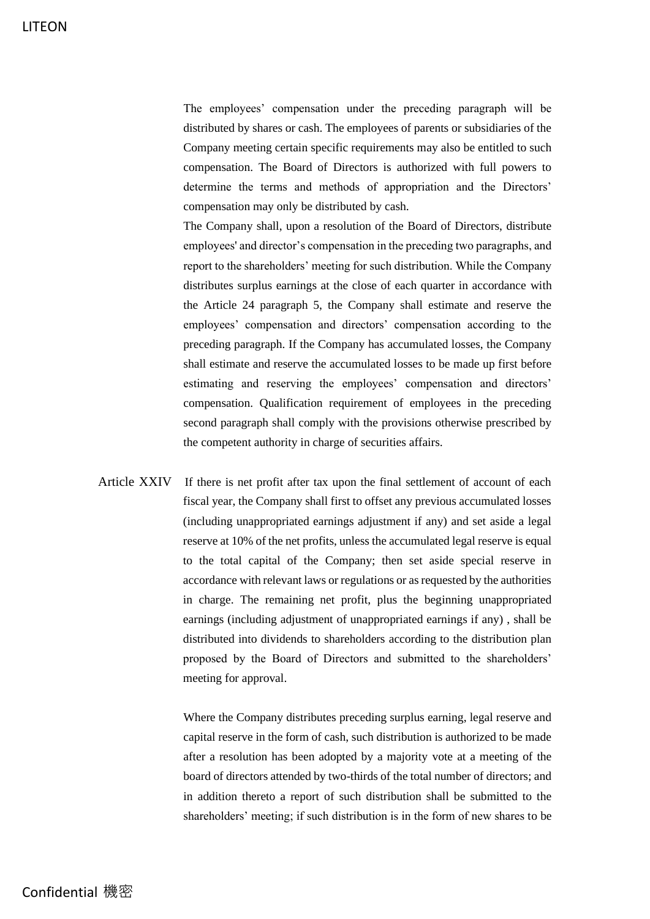The employees' compensation under the preceding paragraph will be distributed by shares or cash. The employees of parents or subsidiaries of the Company meeting certain specific requirements may also be entitled to such compensation. The Board of Directors is authorized with full powers to determine the terms and methods of appropriation and the Directors' compensation may only be distributed by cash.

The Company shall, upon a resolution of the Board of Directors, distribute employees' and director's compensation in the preceding two paragraphs, and report to the shareholders' meeting for such distribution. While the Company distributes surplus earnings at the close of each quarter in accordance with the Article 24 paragraph 5, the Company shall estimate and reserve the employees' compensation and directors' compensation according to the preceding paragraph. If the Company has accumulated losses, the Company shall estimate and reserve the accumulated losses to be made up first before estimating and reserving the employees' compensation and directors' compensation. Qualification requirement of employees in the preceding second paragraph shall comply with the provisions otherwise prescribed by the competent authority in charge of securities affairs.

Article XXIV If there is net profit after tax upon the final settlement of account of each fiscal year, the Company shall first to offset any previous accumulated losses (including unappropriated earnings adjustment if any) and set aside a legal reserve at 10% of the net profits, unless the accumulated legal reserve is equal to the total capital of the Company; then set aside special reserve in accordance with relevant laws or regulations or as requested by the authorities in charge. The remaining net profit, plus the beginning unappropriated earnings (including adjustment of unappropriated earnings if any) , shall be distributed into dividends to shareholders according to the distribution plan proposed by the Board of Directors and submitted to the shareholders' meeting for approval.

> Where the Company distributes preceding surplus earning, legal reserve and capital reserve in the form of cash, such distribution is authorized to be made after a resolution has been adopted by a majority vote at a meeting of the board of directors attended by two-thirds of the total number of directors; and in addition thereto a report of such distribution shall be submitted to the shareholders' meeting; if such distribution is in the form of new shares to be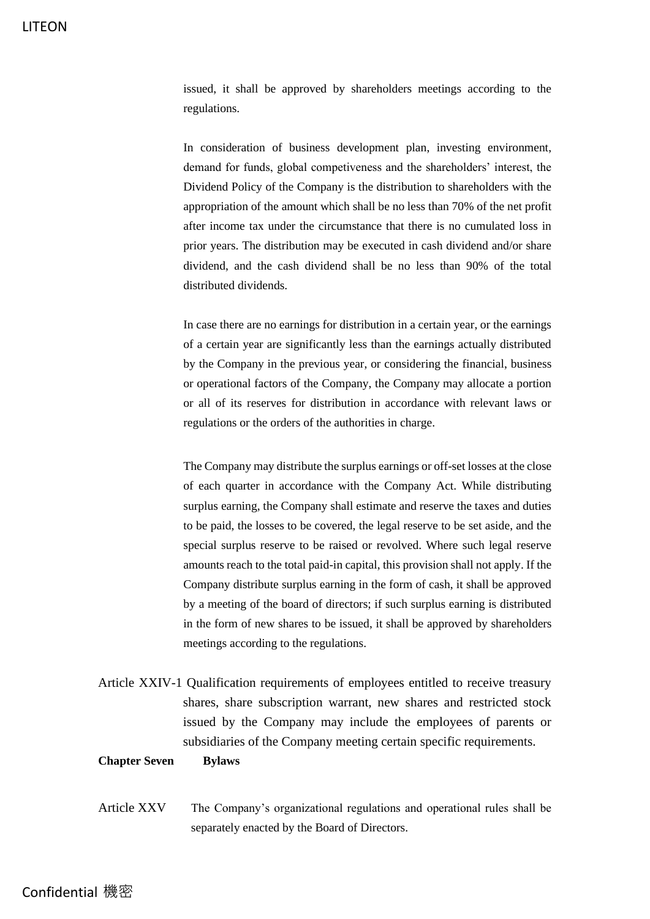issued, it shall be approved by shareholders meetings according to the regulations.

In consideration of business development plan, investing environment, demand for funds, global competiveness and the shareholders' interest, the Dividend Policy of the Company is the distribution to shareholders with the appropriation of the amount which shall be no less than 70% of the net profit after income tax under the circumstance that there is no cumulated loss in prior years. The distribution may be executed in cash dividend and/or share dividend, and the cash dividend shall be no less than 90% of the total distributed dividends.

In case there are no earnings for distribution in a certain year, or the earnings of a certain year are significantly less than the earnings actually distributed by the Company in the previous year, or considering the financial, business or operational factors of the Company, the Company may allocate a portion or all of its reserves for distribution in accordance with relevant laws or regulations or the orders of the authorities in charge.

The Company may distribute the surplus earnings or off-set losses at the close of each quarter in accordance with the Company Act. While distributing surplus earning, the Company shall estimate and reserve the taxes and duties to be paid, the losses to be covered, the legal reserve to be set aside, and the special surplus reserve to be raised or revolved. Where such legal reserve amounts reach to the total paid-in capital, this provision shall not apply. If the Company distribute surplus earning in the form of cash, it shall be approved by a meeting of the board of directors; if such surplus earning is distributed in the form of new shares to be issued, it shall be approved by shareholders meetings according to the regulations.

Article XXIV-1 Qualification requirements of employees entitled to receive treasury shares, share subscription warrant, new shares and restricted stock issued by the Company may include the employees of parents or subsidiaries of the Company meeting certain specific requirements.

### **Chapter Seven Bylaws**

Article XXV The Company's organizational regulations and operational rules shall be separately enacted by the Board of Directors.